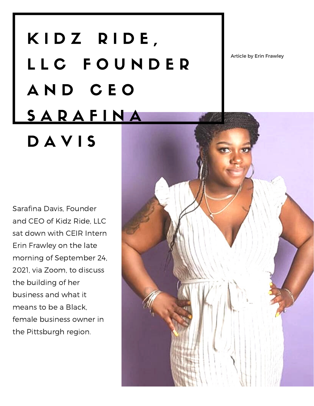## K I D Z R I D E, L L C F O U N D E R A N D C E O **SARAFINA** DAVIS

Article by Erin Frawley

Sarafina Davis, Founder and CEO of Kidz Ride, LLC sat down with CEIR Intern Erin Frawley on the late morning of September 24, 2021, via Zoom, to discuss the building of her business and what it means to be a Black, female business owner in the Pittsburgh region.

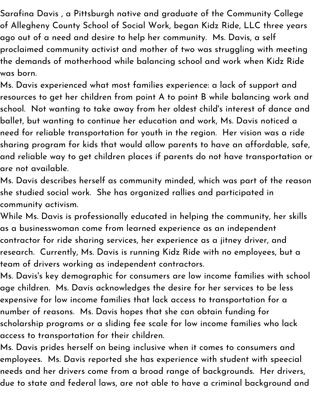Sarafina Davis , a Pittsburgh native and graduate of the Community College of Allegheny County School of Social Work, began Kidz Ride, LLC three years ago out of a need and desire to help her community. Ms. Davis, a self proclaimed community activist and mother of two was struggling with meeting the demands of motherhood while balancing school and work when Kidz Ride was born.

Ms. Davis experienced what most families experience: a lack of support and resources to get her children from point A to point B while balancing work and school. Not wanting to take away from her oldest child's interest of dance and ballet, but wanting to continue her education and work, Ms. Davis noticed a need for reliable transportation for youth in the region. Her vision was a ride sharing program for kids that would allow parents to have an affordable, safe, and reliable way to get children places if parents do not have transportation or are not available.

Ms. Davis describes herself as community minded, which was part of the reason she studied social work. She has organized rallies and participated in community activism.

While Ms. Davis is professionally educated in helping the community, her skills as a businesswoman come from learned experience as an independent contractor for ride sharing services, her experience as a jitney driver, and research. Currently, Ms. Davis is running Kidz Ride with no employees, but a team of drivers working as independent contractors.

Ms. Davis's key demographic for consumers are low income families with school age children. Ms. Davis acknowledges the desire for her services to be less expensive for low income families that lack access to transportation for a number of reasons. Ms. Davis hopes that she can obtain funding for scholarship programs or a sliding fee scale for low income families who lack access to transportation for their children.

Ms. Davis prides herself on being inclusive when it comes to consumers and employees. Ms. Davis reported she has experience with student with speecial needs and her drivers come from a broad range of backgrounds. Her drivers, due to state and federal laws, are not able to have a criminal background and